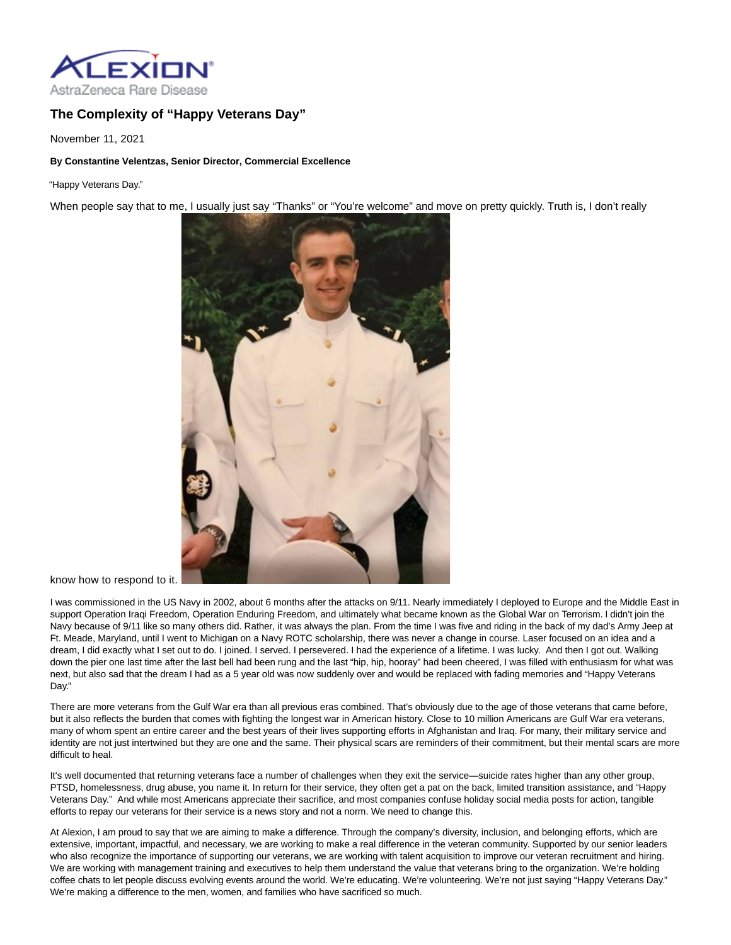

## **The Complexity of "Happy Veterans Day"**

November 11, 2021

## **By Constantine Velentzas, Senior Director, Commercial Excellence**

"Happy Veterans Day."

When people say that to me, I usually just say "Thanks" or "You're welcome" and move on pretty quickly. Truth is, I don't really



know how to respond to it.

I was commissioned in the US Navy in 2002, about 6 months after the attacks on 9/11. Nearly immediately I deployed to Europe and the Middle East in support Operation Iraqi Freedom, Operation Enduring Freedom, and ultimately what became known as the Global War on Terrorism. I didn't join the Navy because of 9/11 like so many others did. Rather, it was always the plan. From the time I was five and riding in the back of my dad's Army Jeep at Ft. Meade, Maryland, until I went to Michigan on a Navy ROTC scholarship, there was never a change in course. Laser focused on an idea and a dream, I did exactly what I set out to do. I joined. I served. I persevered. I had the experience of a lifetime. I was lucky. And then I got out. Walking down the pier one last time after the last bell had been rung and the last "hip, hip, hooray" had been cheered, I was filled with enthusiasm for what was next, but also sad that the dream I had as a 5 year old was now suddenly over and would be replaced with fading memories and "Happy Veterans Day."

There are more veterans from the Gulf War era than all previous eras combined. That's obviously due to the age of those veterans that came before, but it also reflects the burden that comes with fighting the longest war in American history. Close to 10 million Americans are Gulf War era veterans, many of whom spent an entire career and the best years of their lives supporting efforts in Afghanistan and Iraq. For many, their military service and identity are not just intertwined but they are one and the same. Their physical scars are reminders of their commitment, but their mental scars are more difficult to heal.

It's well documented that returning veterans face a number of challenges when they exit the service—suicide rates higher than any other group, PTSD, homelessness, drug abuse, you name it. In return for their service, they often get a pat on the back, limited transition assistance, and "Happy Veterans Day." And while most Americans appreciate their sacrifice, and most companies confuse holiday social media posts for action, tangible efforts to repay our veterans for their service is a news story and not a norm. We need to change this.

At Alexion, I am proud to say that we are aiming to make a difference. Through the company's diversity, inclusion, and belonging efforts, which are extensive, important, impactful, and necessary, we are working to make a real difference in the veteran community. Supported by our senior leaders who also recognize the importance of supporting our veterans, we are working with talent acquisition to improve our veteran recruitment and hiring. We are working with management training and executives to help them understand the value that veterans bring to the organization. We're holding coffee chats to let people discuss evolving events around the world. We're educating. We're volunteering. We're not just saying "Happy Veterans Day." We're making a difference to the men, women, and families who have sacrificed so much.